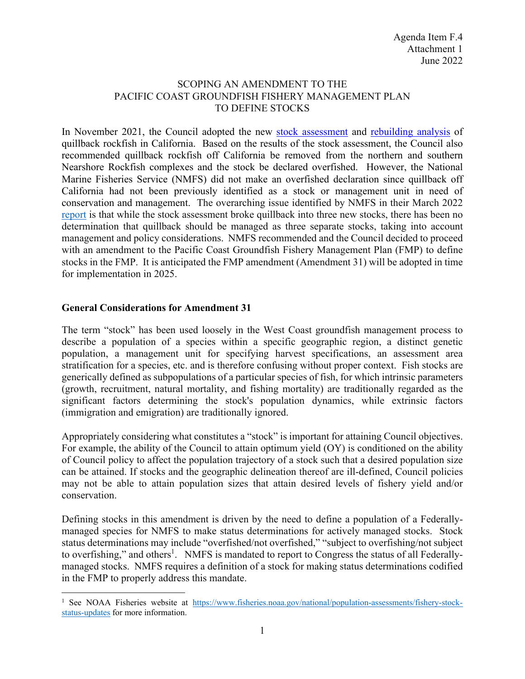#### SCOPING AN AMENDMENT TO THE PACIFIC COAST GROUNDFISH FISHERY MANAGEMENT PLAN TO DEFINE STOCKS

In November 2021, the Council adopted the new stock assessment and rebuilding analysis of quillback rockfish in California. Based on the results of the stock assessment, the Council also recommended quillback rockfish off California be removed from the northern and southern Nearshore Rockfish complexes and the stock be declared overfished. However, the National Marine Fisheries Service (NMFS) did not make an overfished declaration since quillback off California had not been previously identified as a stock or management unit in need of conservation and management. The overarching issue identified by NMFS in their March 2022 report is that while the stock assessment broke quillback into three new stocks, there has been no determination that quillback should be managed as three separate stocks, taking into account management and policy considerations. NMFS recommended and the Council decided to proceed with an amendment to the Pacific Coast Groundfish Fishery Management Plan (FMP) to define stocks in the FMP. It is anticipated the FMP amendment (Amendment 31) will be adopted in time for implementation in 2025.

#### **General Considerations for Amendment 31**

The term "stock" has been used loosely in the West Coast groundfish management process to describe a population of a species within a specific geographic region, a distinct genetic population, a management unit for specifying harvest specifications, an assessment area stratification for a species, etc. and is therefore confusing without proper context. Fish stocks are generically defined as subpopulations of a particular species of fish, for which intrinsic parameters (growth, recruitment, natural mortality, and fishing mortality) are traditionally regarded as the significant factors determining the stock's population dynamics, while extrinsic factors (immigration and emigration) are traditionally ignored.

Appropriately considering what constitutes a "stock" is important for attaining Council objectives. For example, the ability of the Council to attain optimum yield (OY) is conditioned on the ability of Council policy to affect the population trajectory of a stock such that a desired population size can be attained. If stocks and the geographic delineation thereof are ill-defined, Council policies may not be able to attain population sizes that attain desired levels of fishery yield and/or conservation.

Defining stocks in this amendment is driven by the need to define a population of a Federallymanaged species for NMFS to make status determinations for actively managed stocks. Stock status determinations may include "overfished/not overfished," "subject to overfishing/not subject to overfishing," and others<sup>1</sup>. NMFS is mandated to report to Congress the status of all Federallymanaged stocks. NMFS requires a definition of a stock for making status determinations codified in the FMP to properly address this mandate.

<sup>&</sup>lt;sup>1</sup> See NOAA Fisheries website at https://www.fisheries.noaa.gov/national/population-assessments/fishery-stockstatus-updates for more information.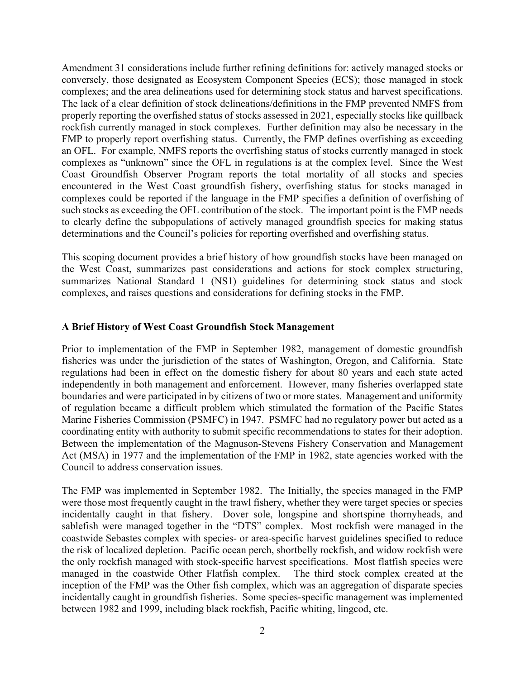Amendment 31 considerations include further refining definitions for: actively managed stocks or conversely, those designated as Ecosystem Component Species (ECS); those managed in stock complexes; and the area delineations used for determining stock status and harvest specifications. The lack of a clear definition of stock delineations/definitions in the FMP prevented NMFS from properly reporting the overfished status of stocks assessed in 2021, especially stocks like quillback rockfish currently managed in stock complexes. Further definition may also be necessary in the FMP to properly report overfishing status. Currently, the FMP defines overfishing as exceeding an OFL. For example, NMFS reports the overfishing status of stocks currently managed in stock complexes as "unknown" since the OFL in regulations is at the complex level. Since the West Coast Groundfish Observer Program reports the total mortality of all stocks and species encountered in the West Coast groundfish fishery, overfishing status for stocks managed in complexes could be reported if the language in the FMP specifies a definition of overfishing of such stocks as exceeding the OFL contribution of the stock. The important point is the FMP needs to clearly define the subpopulations of actively managed groundfish species for making status determinations and the Council's policies for reporting overfished and overfishing status.

This scoping document provides a brief history of how groundfish stocks have been managed on the West Coast, summarizes past considerations and actions for stock complex structuring, summarizes National Standard 1 (NS1) guidelines for determining stock status and stock complexes, and raises questions and considerations for defining stocks in the FMP.

#### **A Brief History of West Coast Groundfish Stock Management**

Prior to implementation of the FMP in September 1982, management of domestic groundfish fisheries was under the jurisdiction of the states of Washington, Oregon, and California. State regulations had been in effect on the domestic fishery for about 80 years and each state acted independently in both management and enforcement. However, many fisheries overlapped state boundaries and were participated in by citizens of two or more states. Management and uniformity of regulation became a difficult problem which stimulated the formation of the Pacific States Marine Fisheries Commission (PSMFC) in 1947. PSMFC had no regulatory power but acted as a coordinating entity with authority to submit specific recommendations to states for their adoption. Between the implementation of the Magnuson-Stevens Fishery Conservation and Management Act (MSA) in 1977 and the implementation of the FMP in 1982, state agencies worked with the Council to address conservation issues.

The FMP was implemented in September 1982. The Initially, the species managed in the FMP were those most frequently caught in the trawl fishery, whether they were target species or species incidentally caught in that fishery. Dover sole, longspine and shortspine thornyheads, and sablefish were managed together in the "DTS" complex. Most rockfish were managed in the coastwide Sebastes complex with species- or area-specific harvest guidelines specified to reduce the risk of localized depletion. Pacific ocean perch, shortbelly rockfish, and widow rockfish were the only rockfish managed with stock-specific harvest specifications. Most flatfish species were managed in the coastwide Other Flatfish complex. The third stock complex created at the inception of the FMP was the Other fish complex, which was an aggregation of disparate species incidentally caught in groundfish fisheries. Some species-specific management was implemented between 1982 and 1999, including black rockfish, Pacific whiting, lingcod, etc.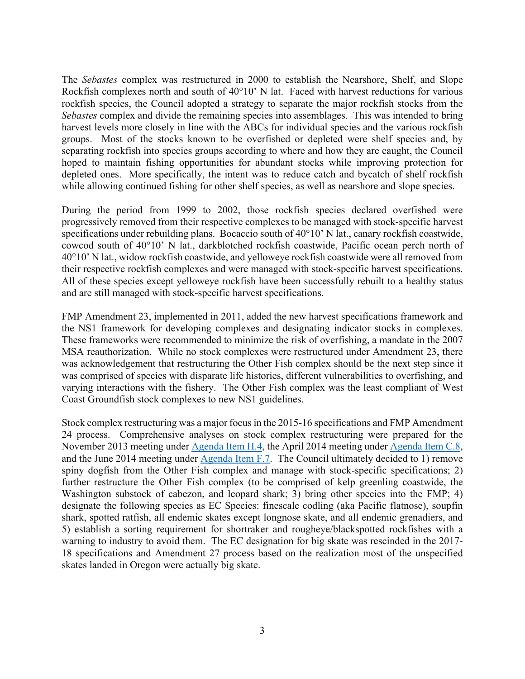The *Sebastes* complex was restructured in 2000 to establish the Nearshore, Shelf, and Slope Rockfish complexes north and south of 40°10' N lat. Faced with harvest reductions for various rockfish species, the Council adopted a strategy to separate the major rockfish stocks from the *Sebastes* complex and divide the remaining species into assemblages. This was intended to bring harvest levels more closely in line with the ABCs for individual species and the various rockfish groups. Most of the stocks known to be overfished or depleted were shelf species and, by separating rockfish into species groups according to where and how they are caught, the Council hoped to maintain fishing opportunities for abundant stocks while improving protection for depleted ones. More specifically, the intent was to reduce catch and bycatch of shelf rockfish while allowing continued fishing for other shelf species, as well as nearshore and slope species.

During the period from 1999 to 2002, those rockfish species declared overfished were progressively removed from their respective complexes to be managed with stock-specific harvest specifications under rebuilding plans. Bocaccio south of 40°10' N lat., canary rockfish coastwide, cowcod south of 40°10' N lat., darkblotched rockfish coastwide, Pacific ocean perch north of 40°10' N lat., widow rockfish coastwide, and yelloweye rockfish coastwide were all removed from their respective rockfish complexes and were managed with stock-specific harvest specifications. All of these species except yelloweye rockfish have been successfully rebuilt to a healthy status and are still managed with stock-specific harvest specifications.

FMP Amendment 23, implemented in 2011, added the new harvest specifications framework and the NS1 framework for developing complexes and designating indicator stocks in complexes. These frameworks were recommended to minimize the risk of overfishing, a mandate in the 2007 MSA reauthorization. While no stock complexes were restructured under Amendment 23, there was acknowledgement that restructuring the Other Fish complex should be the next step since it was comprised of species with disparate life histories, different vulnerabilities to overfishing, and varying interactions with the fishery. The Other Fish complex was the least compliant of West Coast Groundfish stock complexes to new NS1 guidelines.

Stock complex restructuring was a major focus in the 2015-16 specifications and FMP Amendment 24 process. Comprehensive analyses on stock complex restructuring were prepared for the November 2013 meeting under Agenda Item H.4, the April 2014 meeting under Agenda Item C.8, and the June 2014 meeting under Agenda Item F.7. The Council ultimately decided to 1) remove spiny dogfish from the Other Fish complex and manage with stock-specific specifications; 2) further restructure the Other Fish complex (to be comprised of kelp greenling coastwide, the Washington substock of cabezon, and leopard shark; 3) bring other species into the FMP; 4) designate the following species as EC Species: finescale codling (aka Pacific flatnose), soupfin shark, spotted ratfish, all endemic skates except longnose skate, and all endemic grenadiers, and 5) establish a sorting requirement for shortraker and rougheye/blackspotted rockfishes with a warning to industry to avoid them. The EC designation for big skate was rescinded in the 2017- 18 specifications and Amendment 27 process based on the realization most of the unspecified skates landed in Oregon were actually big skate.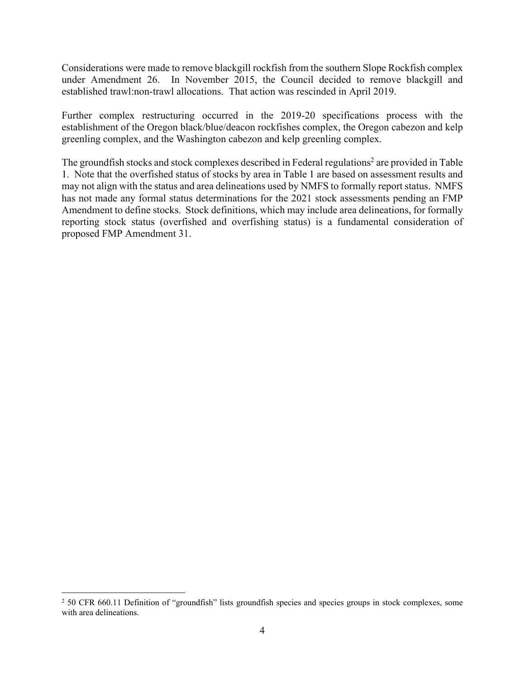Considerations were made to remove blackgill rockfish from the southern Slope Rockfish complex under Amendment 26. In November 2015, the Council decided to remove blackgill and established trawl:non-trawl allocations. That action was rescinded in April 2019.

Further complex restructuring occurred in the 2019-20 specifications process with the establishment of the Oregon black/blue/deacon rockfishes complex, the Oregon cabezon and kelp greenling complex, and the Washington cabezon and kelp greenling complex.

The groundfish stocks and stock complexes described in Federal regulations<sup>2</sup> are provided in Table 1. Note that the overfished status of stocks by area in Table 1 are based on assessment results and may not align with the status and area delineations used by NMFS to formally report status. NMFS has not made any formal status determinations for the 2021 stock assessments pending an FMP Amendment to define stocks. Stock definitions, which may include area delineations, for formally reporting stock status (overfished and overfishing status) is a fundamental consideration of proposed FMP Amendment 31.

<sup>&</sup>lt;sup>2</sup> 50 CFR 660.11 Definition of "groundfish" lists groundfish species and species groups in stock complexes, some with area delineations.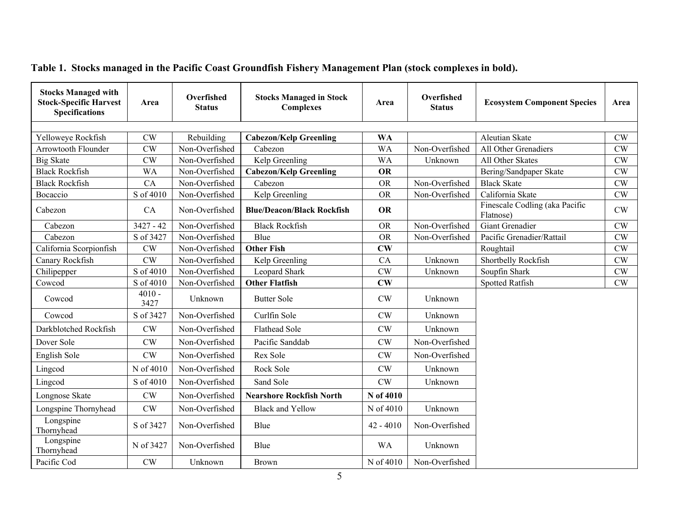| <b>Stocks Managed with</b><br><b>Stock-Specific Harvest</b><br><b>Specifications</b> | Area             | Overfished<br><b>Status</b> | <b>Stocks Managed in Stock</b><br><b>Complexes</b> | Overfished<br>Area<br><b>Status</b> |                | <b>Ecosystem Component Species</b>          | Area      |
|--------------------------------------------------------------------------------------|------------------|-----------------------------|----------------------------------------------------|-------------------------------------|----------------|---------------------------------------------|-----------|
|                                                                                      |                  |                             |                                                    |                                     |                |                                             |           |
| Yelloweye Rockfish                                                                   | CW               | Rebuilding                  | <b>Cabezon/Kelp Greenling</b>                      | <b>WA</b>                           |                | Aleutian Skate                              | CW        |
| <b>Arrowtooth Flounder</b>                                                           | CW               | Non-Overfished              | Cabezon                                            | <b>WA</b>                           | Non-Overfished | All Other Grenadiers                        | CW        |
| <b>Big Skate</b>                                                                     | CW               | Non-Overfished              | Kelp Greenling                                     | <b>WA</b>                           | Unknown        | All Other Skates                            | CW        |
| <b>Black Rockfish</b>                                                                | WA               | Non-Overfished              | <b>Cabezon/Kelp Greenling</b>                      | <b>OR</b>                           |                | Bering/Sandpaper Skate                      | <b>CW</b> |
| <b>Black Rockfish</b>                                                                | CA               | Non-Overfished              | Cabezon                                            | <b>OR</b>                           | Non-Overfished | <b>Black Skate</b>                          | <b>CW</b> |
| Bocaccio                                                                             | S of 4010        | Non-Overfished              | Kelp Greenling                                     | <b>OR</b>                           | Non-Overfished | California Skate                            | CW        |
| Cabezon                                                                              | CA               | Non-Overfished              | <b>Blue/Deacon/Black Rockfish</b>                  | <b>OR</b>                           |                | Finescale Codling (aka Pacific<br>Flatnose) | CW        |
| Cabezon                                                                              | $3427 - 42$      | Non-Overfished              | <b>Black Rockfish</b>                              | <b>OR</b>                           | Non-Overfished | Giant Grenadier                             | CW        |
| Cabezon                                                                              | S of 3427        | Non-Overfished              | Blue                                               | <b>OR</b>                           | Non-Overfished | Pacific Grenadier/Rattail                   | CW        |
| California Scorpionfish                                                              | <b>CW</b>        | Non-Overfished              | <b>Other Fish</b>                                  | $\mathbf{C}\mathbf{W}$              |                | Roughtail                                   | CW        |
| Canary Rockfish                                                                      | CW               | Non-Overfished              | Kelp Greenling                                     | CA                                  | Unknown        | Shortbelly Rockfish                         | <b>CW</b> |
| Chilipepper                                                                          | S of 4010        | Non-Overfished              | Leopard Shark                                      | CW                                  | Unknown        | Soupfin Shark                               | CW        |
| Cowcod                                                                               | S of 4010        | Non-Overfished              | <b>Other Flatfish</b>                              | $\mathbf{C}\mathbf{W}$              |                | <b>Spotted Ratfish</b>                      | <b>CW</b> |
| Cowcod                                                                               | $4010 -$<br>3427 | Unknown                     | <b>Butter Sole</b>                                 | CW                                  | Unknown        |                                             |           |
| Cowcod                                                                               | S of 3427        | Non-Overfished              | Curlfin Sole                                       | CW                                  | Unknown        |                                             |           |
| Darkblotched Rockfish                                                                | CW               | Non-Overfished              | Flathead Sole                                      | <b>CW</b>                           | Unknown        |                                             |           |
| Dover Sole                                                                           | <b>CW</b>        | Non-Overfished              | Pacific Sanddab                                    | <b>CW</b>                           | Non-Overfished |                                             |           |
| English Sole                                                                         | <b>CW</b>        | Non-Overfished              | Rex Sole                                           | CW                                  | Non-Overfished |                                             |           |
| Lingcod                                                                              | N of 4010        | Non-Overfished              | Rock Sole                                          | CW                                  | Unknown        |                                             |           |
| Lingcod                                                                              | S of 4010        | Non-Overfished              | Sand Sole                                          | CW                                  | Unknown        |                                             |           |
| Longnose Skate                                                                       | CW               | Non-Overfished              | <b>Nearshore Rockfish North</b>                    | N of 4010                           |                |                                             |           |
| Longspine Thornyhead                                                                 | <b>CW</b>        | Non-Overfished              | <b>Black and Yellow</b>                            | N of 4010                           | Unknown        |                                             |           |
| Longspine<br>Thornyhead                                                              | S of 3427        | Non-Overfished              | Blue                                               | $42 - 4010$                         | Non-Overfished |                                             |           |
| Longspine<br>Thornyhead                                                              | N of 3427        | Non-Overfished              | Blue                                               | <b>WA</b>                           | Unknown        |                                             |           |
| Pacific Cod                                                                          | CW               | Unknown                     | <b>Brown</b>                                       | N of 4010                           | Non-Overfished |                                             |           |

# **Table 1. Stocks managed in the Pacific Coast Groundfish Fishery Management Plan (stock complexes in bold).**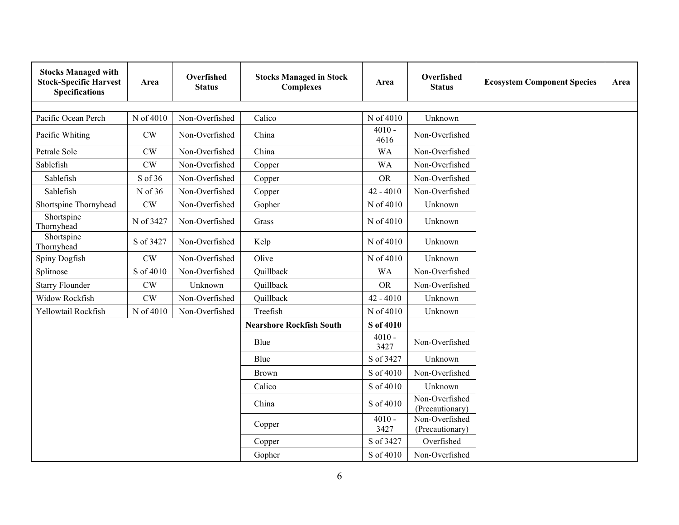| <b>Stocks Managed with</b><br><b>Stock-Specific Harvest</b><br><b>Specifications</b> | Area          | Overfished<br><b>Status</b> | <b>Stocks Managed in Stock</b><br><b>Complexes</b> | Overfished<br>Area<br><b>Status</b> |                                   | <b>Ecosystem Component Species</b> | Area |
|--------------------------------------------------------------------------------------|---------------|-----------------------------|----------------------------------------------------|-------------------------------------|-----------------------------------|------------------------------------|------|
|                                                                                      |               |                             |                                                    |                                     |                                   |                                    |      |
| Pacific Ocean Perch                                                                  | N of 4010     | Non-Overfished              | Calico                                             | N of 4010                           | Unknown                           |                                    |      |
| Pacific Whiting                                                                      | CW            | Non-Overfished              | China                                              | $4010 -$<br>4616                    | Non-Overfished                    |                                    |      |
| Petrale Sole                                                                         | CW            | Non-Overfished              | China                                              | <b>WA</b>                           | Non-Overfished                    |                                    |      |
| Sablefish                                                                            | CW            | Non-Overfished              | Copper                                             | <b>WA</b>                           | Non-Overfished                    |                                    |      |
| Sablefish                                                                            | S of 36       | Non-Overfished              | Copper                                             | ${\rm OR}$                          | Non-Overfished                    |                                    |      |
| Sablefish                                                                            | N of 36       | Non-Overfished              | Copper                                             | $42 - 4010$                         | Non-Overfished                    |                                    |      |
| Shortspine Thornyhead                                                                | CW            | Non-Overfished              | Gopher                                             | N of 4010                           | Unknown                           |                                    |      |
| Shortspine<br>Thornyhead                                                             | N of 3427     | Non-Overfished              | Grass                                              | N of 4010                           | Unknown                           |                                    |      |
| Shortspine<br>Thornyhead                                                             | S of 3427     | Non-Overfished              | Kelp                                               | N of 4010                           | Unknown                           |                                    |      |
| Spiny Dogfish                                                                        | $\mathrm{CW}$ | Non-Overfished              | Olive                                              | N of 4010                           | Unknown                           |                                    |      |
| Splitnose                                                                            | S of 4010     | Non-Overfished              | Quillback                                          | <b>WA</b>                           | Non-Overfished                    |                                    |      |
| <b>Starry Flounder</b>                                                               | $\mathrm{CW}$ | Unknown                     | Quillback                                          | <b>OR</b>                           | Non-Overfished                    |                                    |      |
| Widow Rockfish                                                                       | $\mathrm{CW}$ | Non-Overfished              | Quillback                                          | $42 - 4010$                         | Unknown                           |                                    |      |
| Yellowtail Rockfish                                                                  | N of 4010     | Non-Overfished              | Treefish                                           | N of 4010                           | Unknown                           |                                    |      |
|                                                                                      |               |                             | <b>Nearshore Rockfish South</b>                    | S of 4010                           |                                   |                                    |      |
|                                                                                      |               |                             | Blue                                               | $4010 -$<br>3427                    | Non-Overfished                    |                                    |      |
|                                                                                      |               |                             | Blue                                               | S of 3427                           | Unknown                           |                                    |      |
|                                                                                      |               |                             | Brown                                              | S of 4010                           | Non-Overfished                    |                                    |      |
|                                                                                      |               |                             | Calico                                             | S of 4010                           | Unknown                           |                                    |      |
|                                                                                      |               |                             | China                                              | S of 4010                           | Non-Overfished<br>(Precautionary) |                                    |      |
|                                                                                      |               |                             | Copper                                             | $4010 -$<br>3427                    | Non-Overfished<br>(Precautionary) |                                    |      |
|                                                                                      |               |                             | Copper                                             | S of 3427                           | Overfished                        |                                    |      |
|                                                                                      |               |                             | Gopher                                             | S of 4010                           | Non-Overfished                    |                                    |      |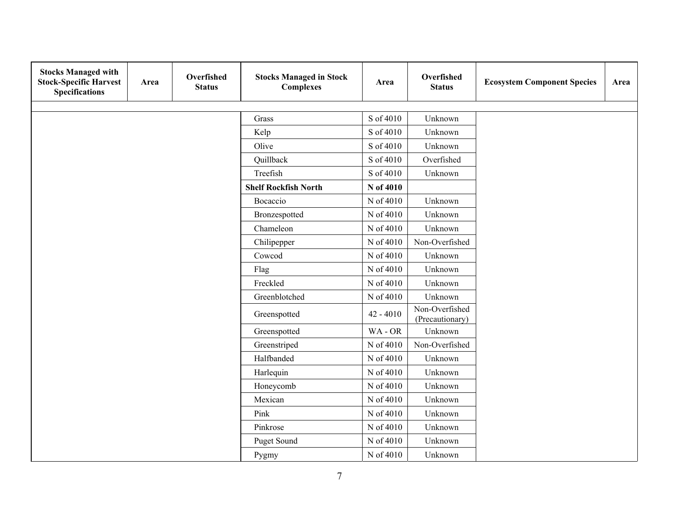| <b>Stocks Managed with</b><br><b>Stock-Specific Harvest</b><br><b>Specifications</b> | Area | Overfished<br><b>Status</b> | <b>Stocks Managed in Stock</b><br><b>Complexes</b> | Area        | Overfished<br><b>Status</b>       | <b>Ecosystem Component Species</b> | Area |
|--------------------------------------------------------------------------------------|------|-----------------------------|----------------------------------------------------|-------------|-----------------------------------|------------------------------------|------|
|                                                                                      |      |                             |                                                    |             |                                   |                                    |      |
|                                                                                      |      |                             | Grass                                              | S of 4010   | Unknown                           |                                    |      |
|                                                                                      |      |                             | Kelp                                               | S of 4010   | Unknown                           |                                    |      |
|                                                                                      |      |                             | Olive                                              | S of 4010   | Unknown                           |                                    |      |
|                                                                                      |      |                             | Quillback                                          | S of 4010   | Overfished                        |                                    |      |
|                                                                                      |      |                             | Treefish                                           | S of 4010   | Unknown                           |                                    |      |
|                                                                                      |      |                             | <b>Shelf Rockfish North</b>                        | N of 4010   |                                   |                                    |      |
|                                                                                      |      |                             | Bocaccio                                           | N of 4010   | Unknown                           |                                    |      |
|                                                                                      |      |                             | Bronzespotted                                      | N of 4010   | Unknown                           |                                    |      |
|                                                                                      |      |                             | Chameleon                                          | N of 4010   | Unknown                           |                                    |      |
|                                                                                      |      |                             | Chilipepper                                        | N of 4010   | Non-Overfished                    |                                    |      |
|                                                                                      |      |                             | Cowcod                                             | N of 4010   | Unknown                           |                                    |      |
|                                                                                      |      |                             | Flag                                               | N of 4010   | Unknown                           |                                    |      |
|                                                                                      |      |                             | Freckled                                           | N of 4010   | Unknown                           |                                    |      |
|                                                                                      |      |                             | Greenblotched                                      | N of 4010   | Unknown                           |                                    |      |
|                                                                                      |      |                             | Greenspotted                                       | $42 - 4010$ | Non-Overfished<br>(Precautionary) |                                    |      |
|                                                                                      |      |                             | Greenspotted                                       | WA-OR       | Unknown                           |                                    |      |
|                                                                                      |      |                             | Greenstriped                                       | N of 4010   | Non-Overfished                    |                                    |      |
|                                                                                      |      |                             | Halfbanded                                         | N of 4010   | Unknown                           |                                    |      |
|                                                                                      |      |                             | Harlequin                                          | N of 4010   | Unknown                           |                                    |      |
|                                                                                      |      |                             | Honeycomb                                          | N of 4010   | Unknown                           |                                    |      |
|                                                                                      |      |                             | Mexican                                            | N of 4010   | Unknown                           |                                    |      |
|                                                                                      |      |                             | Pink                                               | N of 4010   | Unknown                           |                                    |      |
|                                                                                      |      |                             | Pinkrose                                           | N of 4010   | Unknown                           |                                    |      |
|                                                                                      |      |                             | Puget Sound                                        | N of 4010   | Unknown                           |                                    |      |
|                                                                                      |      |                             | Pygmy                                              | N of 4010   | Unknown                           |                                    |      |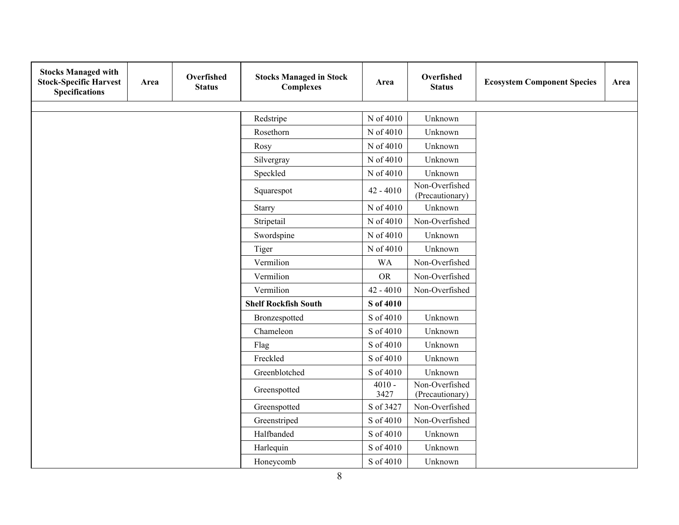| <b>Stocks Managed with</b><br><b>Stock-Specific Harvest</b><br><b>Specifications</b> | Area | Overfished<br><b>Status</b> | <b>Stocks Managed in Stock</b><br><b>Complexes</b> | Area             | Overfished<br><b>Status</b>       | <b>Ecosystem Component Species</b> | Area |
|--------------------------------------------------------------------------------------|------|-----------------------------|----------------------------------------------------|------------------|-----------------------------------|------------------------------------|------|
|                                                                                      |      |                             | Redstripe                                          | N of 4010        | Unknown                           |                                    |      |
|                                                                                      |      |                             | Rosethorn                                          | N of 4010        | Unknown                           |                                    |      |
|                                                                                      |      |                             | Rosy                                               | N of 4010        | Unknown                           |                                    |      |
|                                                                                      |      |                             |                                                    | N of 4010        | Unknown                           |                                    |      |
|                                                                                      |      |                             | Silvergray                                         |                  |                                   |                                    |      |
|                                                                                      |      |                             | Speckled                                           | N of 4010        | Unknown<br>Non-Overfished         |                                    |      |
|                                                                                      |      |                             | Squarespot                                         | $42 - 4010$      | (Precautionary)                   |                                    |      |
|                                                                                      |      |                             | Starry                                             | N of 4010        | Unknown                           |                                    |      |
|                                                                                      |      |                             | Stripetail                                         | N of 4010        | Non-Overfished                    |                                    |      |
|                                                                                      |      |                             | Swordspine                                         | N of 4010        | Unknown                           |                                    |      |
|                                                                                      |      |                             | Tiger                                              | N of 4010        | Unknown                           |                                    |      |
|                                                                                      |      |                             | Vermilion                                          | <b>WA</b>        | Non-Overfished                    |                                    |      |
|                                                                                      |      |                             | Vermilion                                          | <b>OR</b>        | Non-Overfished                    |                                    |      |
|                                                                                      |      |                             | Vermilion                                          | $42 - 4010$      | Non-Overfished                    |                                    |      |
|                                                                                      |      |                             | <b>Shelf Rockfish South</b>                        | S of 4010        |                                   |                                    |      |
|                                                                                      |      |                             | Bronzespotted                                      | S of 4010        | Unknown                           |                                    |      |
|                                                                                      |      |                             | Chameleon                                          | S of 4010        | Unknown                           |                                    |      |
|                                                                                      |      |                             | Flag                                               | S of 4010        | Unknown                           |                                    |      |
|                                                                                      |      |                             | Freckled                                           | S of 4010        | Unknown                           |                                    |      |
|                                                                                      |      |                             | Greenblotched                                      | S of 4010        | Unknown                           |                                    |      |
|                                                                                      |      |                             | Greenspotted                                       | $4010 -$<br>3427 | Non-Overfished<br>(Precautionary) |                                    |      |
|                                                                                      |      |                             | Greenspotted                                       | S of 3427        | Non-Overfished                    |                                    |      |
|                                                                                      |      |                             | Greenstriped                                       | S of 4010        | Non-Overfished                    |                                    |      |
|                                                                                      |      |                             | Halfbanded                                         | S of 4010        | Unknown                           |                                    |      |
|                                                                                      |      |                             | Harlequin                                          | S of 4010        | Unknown                           |                                    |      |
|                                                                                      |      |                             | Honeycomb                                          | S of 4010        | Unknown                           |                                    |      |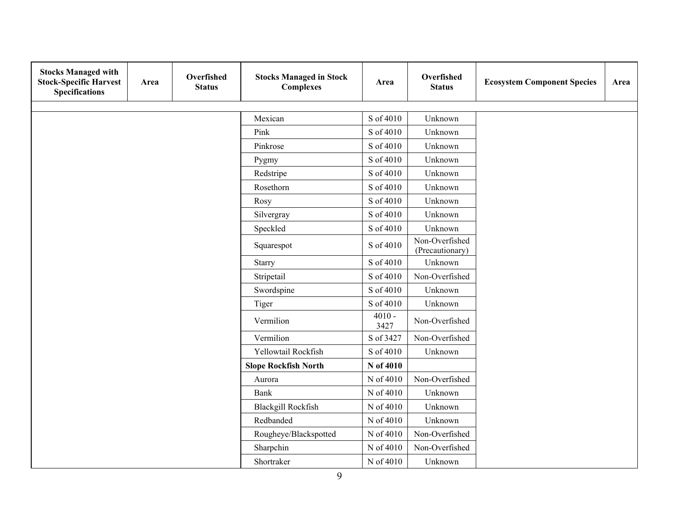| <b>Stocks Managed with</b><br><b>Stock-Specific Harvest</b><br><b>Specifications</b> | Area | Overfished<br><b>Status</b> | <b>Stocks Managed in Stock</b><br><b>Complexes</b> | Area             | Overfished<br><b>Status</b>       | <b>Ecosystem Component Species</b> | Area |
|--------------------------------------------------------------------------------------|------|-----------------------------|----------------------------------------------------|------------------|-----------------------------------|------------------------------------|------|
|                                                                                      |      |                             |                                                    |                  |                                   |                                    |      |
|                                                                                      |      |                             | Mexican                                            | S of 4010        | Unknown                           |                                    |      |
|                                                                                      |      |                             | Pink                                               | S of 4010        | Unknown                           |                                    |      |
|                                                                                      |      |                             | Pinkrose                                           | S of 4010        | Unknown                           |                                    |      |
|                                                                                      |      |                             | Pygmy                                              | S of 4010        | Unknown                           |                                    |      |
|                                                                                      |      |                             | Redstripe                                          | S of 4010        | Unknown                           |                                    |      |
|                                                                                      |      |                             | Rosethorn                                          | S of 4010        | Unknown                           |                                    |      |
|                                                                                      |      |                             | Rosy                                               | S of 4010        | Unknown                           |                                    |      |
|                                                                                      |      |                             | Silvergray                                         | S of 4010        | Unknown                           |                                    |      |
|                                                                                      |      |                             | Speckled                                           | S of 4010        | Unknown                           |                                    |      |
|                                                                                      |      |                             | Squarespot                                         | S of 4010        | Non-Overfished<br>(Precautionary) |                                    |      |
|                                                                                      |      |                             | Starry                                             | S of 4010        | Unknown                           |                                    |      |
|                                                                                      |      |                             | Stripetail                                         | S of 4010        | Non-Overfished                    |                                    |      |
|                                                                                      |      |                             | Swordspine                                         | S of 4010        | Unknown                           |                                    |      |
|                                                                                      |      |                             | Tiger                                              | S of 4010        | Unknown                           |                                    |      |
|                                                                                      |      |                             | Vermilion                                          | $4010 -$<br>3427 | Non-Overfished                    |                                    |      |
|                                                                                      |      |                             | Vermilion                                          | S of 3427        | Non-Overfished                    |                                    |      |
|                                                                                      |      |                             | Yellowtail Rockfish                                | S of 4010        | Unknown                           |                                    |      |
|                                                                                      |      |                             | <b>Slope Rockfish North</b>                        | N of 4010        |                                   |                                    |      |
|                                                                                      |      |                             | Aurora                                             | N of 4010        | Non-Overfished                    |                                    |      |
|                                                                                      |      |                             | <b>Bank</b>                                        | N of 4010        | Unknown                           |                                    |      |
|                                                                                      |      |                             | <b>Blackgill Rockfish</b>                          | N of 4010        | Unknown                           |                                    |      |
|                                                                                      |      |                             | Redbanded                                          | N of 4010        | Unknown                           |                                    |      |
|                                                                                      |      |                             | Rougheye/Blackspotted                              | N of 4010        | Non-Overfished                    |                                    |      |
|                                                                                      |      |                             | Sharpchin                                          | N of 4010        | Non-Overfished                    |                                    |      |
|                                                                                      |      |                             | Shortraker                                         | N of 4010        | Unknown                           |                                    |      |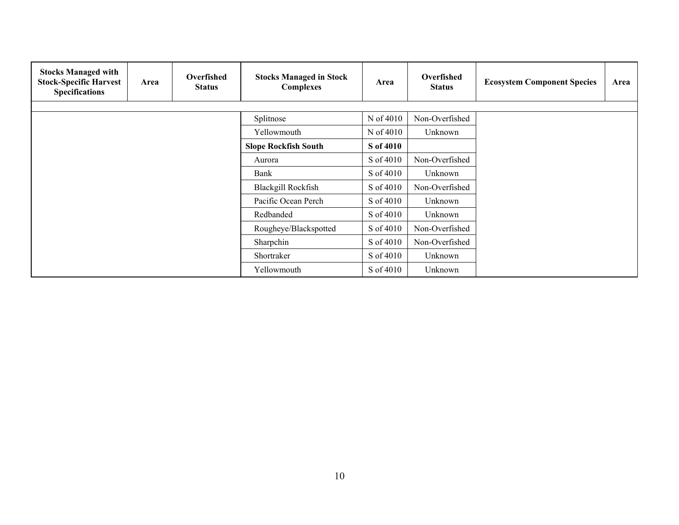| <b>Stocks Managed with</b><br><b>Stock-Specific Harvest</b><br><b>Specifications</b> | Area | Overfished<br><b>Status</b> | <b>Stocks Managed in Stock</b><br><b>Complexes</b> | Area      | Overfished<br><b>Status</b> | <b>Ecosystem Component Species</b> | Area |
|--------------------------------------------------------------------------------------|------|-----------------------------|----------------------------------------------------|-----------|-----------------------------|------------------------------------|------|
|                                                                                      |      |                             |                                                    |           |                             |                                    |      |
|                                                                                      |      |                             | Splitnose                                          | N of 4010 | Non-Overfished              |                                    |      |
|                                                                                      |      |                             | Yellowmouth                                        | N of 4010 | Unknown                     |                                    |      |
|                                                                                      |      |                             | <b>Slope Rockfish South</b>                        | S of 4010 |                             |                                    |      |
|                                                                                      |      |                             | Aurora                                             | S of 4010 | Non-Overfished              |                                    |      |
|                                                                                      |      |                             | Bank                                               | S of 4010 | Unknown                     |                                    |      |
|                                                                                      |      |                             | <b>Blackgill Rockfish</b>                          | S of 4010 | Non-Overfished              |                                    |      |
|                                                                                      |      |                             | Pacific Ocean Perch                                | S of 4010 | Unknown                     |                                    |      |
|                                                                                      |      |                             | Redbanded                                          | S of 4010 | Unknown                     |                                    |      |
|                                                                                      |      |                             | Rougheye/Blackspotted                              | S of 4010 | Non-Overfished              |                                    |      |
|                                                                                      |      |                             | Sharpchin                                          | S of 4010 | Non-Overfished              |                                    |      |
|                                                                                      |      |                             | Shortraker                                         | S of 4010 | Unknown                     |                                    |      |
|                                                                                      |      |                             | Yellowmouth                                        | S of 4010 | Unknown                     |                                    |      |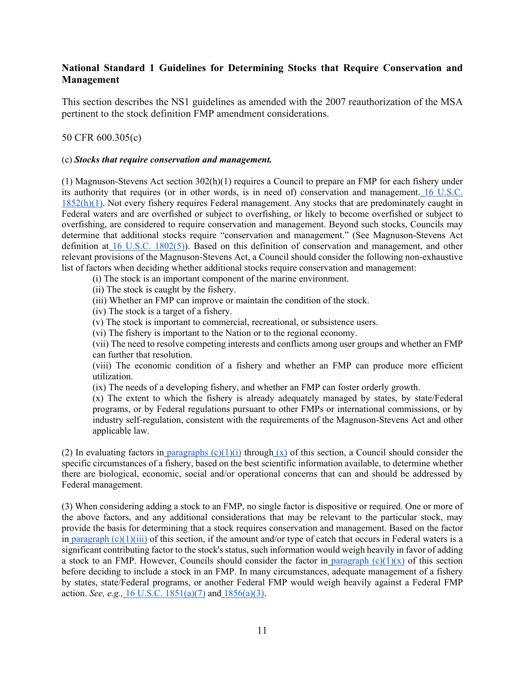#### **National Standard 1 Guidelines for Determining Stocks that Require Conservation and Management**

This section describes the NS1 guidelines as amended with the 2007 reauthorization of the MSA pertinent to the stock definition FMP amendment considerations.

#### 50 CFR 600.305(c)

#### (c) *Stocks that require conservation and management.*

(1) Magnuson-Stevens Act section 302(h)(1) requires a Council to prepare an FMP for each fishery under its authority that requires (or in other words, is in need of) conservation and management. 16 U.S.C. 1852(h)(1). Not every fishery requires Federal management. Any stocks that are predominately caught in Federal waters and are overfished or subject to overfishing, or likely to become overfished or subject to overfishing, are considered to require conservation and management. Beyond such stocks, Councils may determine that additional stocks require "conservation and management." (See Magnuson-Stevens Act definition at 16 U.S.C. 1802(5)). Based on this definition of conservation and management, and other relevant provisions of the Magnuson-Stevens Act, a Council should consider the following non-exhaustive list of factors when deciding whether additional stocks require conservation and management:

(i) The stock is an important component of the marine environment.

- (ii) The stock is caught by the fishery.
- (iii) Whether an FMP can improve or maintain the condition of the stock.
- (iv) The stock is a target of a fishery.
- (v) The stock is important to commercial, recreational, or subsistence users.
- (vi) The fishery is important to the Nation or to the regional economy.

(vii) The need to resolve competing interests and conflicts among user groups and whether an FMP can further that resolution.

(viii) The economic condition of a fishery and whether an FMP can produce more efficient utilization.

(ix) The needs of a developing fishery, and whether an FMP can foster orderly growth.

(x) The extent to which the fishery is already adequately managed by states, by state/Federal programs, or by Federal regulations pursuant to other FMPs or international commissions, or by industry self-regulation, consistent with the requirements of the Magnuson-Stevens Act and other applicable law.

(2) In evaluating factors in paragraphs  $(c)(1)(i)$  through  $(x)$  of this section, a Council should consider the specific circumstances of a fishery, based on the best scientific information available, to determine whether there are biological, economic, social and/or operational concerns that can and should be addressed by Federal management.

(3) When considering adding a stock to an FMP, no single factor is dispositive or required. One or more of the above factors, and any additional considerations that may be relevant to the particular stock, may provide the basis for determining that a stock requires conservation and management. Based on the factor in paragraph  $(c)(1)(iii)$  of this section, if the amount and/or type of catch that occurs in Federal waters is a significant contributing factor to the stock's status, such information would weigh heavily in favor of adding a stock to an FMP. However, Councils should consider the factor in paragraph  $(c)(1)(x)$  of this section before deciding to include a stock in an FMP. In many circumstances, adequate management of a fishery by states, state/Federal programs, or another Federal FMP would weigh heavily against a Federal FMP action. *See, e.g.,* 16 U.S.C. 1851(a)(7) and 1856(a)(3).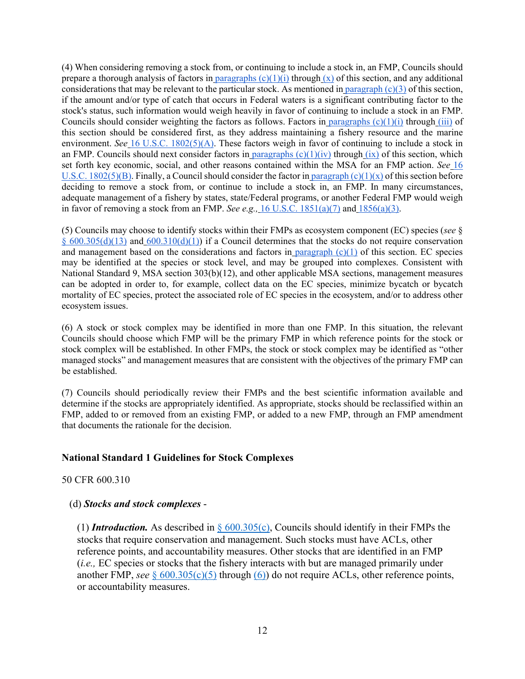(4) When considering removing a stock from, or continuing to include a stock in, an FMP, Councils should prepare a thorough analysis of factors in paragraphs  $(c)(1)(i)$  through  $(x)$  of this section, and any additional considerations that may be relevant to the particular stock. As mentioned in paragraph  $(c)(3)$  of this section, if the amount and/or type of catch that occurs in Federal waters is a significant contributing factor to the stock's status, such information would weigh heavily in favor of continuing to include a stock in an FMP. Councils should consider weighting the factors as follows. Factors in paragraphs  $(c)(1)(i)$  through  $(iii)$  of this section should be considered first, as they address maintaining a fishery resource and the marine environment. *See* 16 U.S.C. 1802(5)(A). These factors weigh in favor of continuing to include a stock in an FMP. Councils should next consider factors in paragraphs  $(c)(1)(iv)$  through  $(ix)$  of this section, which set forth key economic, social, and other reasons contained within the MSA for an FMP action. *See* 16 U.S.C. 1802(5)(B). Finally, a Council should consider the factor in paragraph (c)(1)(x) of this section before deciding to remove a stock from, or continue to include a stock in, an FMP. In many circumstances, adequate management of a fishery by states, state/Federal programs, or another Federal FMP would weigh in favor of removing a stock from an FMP. *See e.g.*, 16 U.S.C. 1851(a)(7) and 1856(a)(3).

(5) Councils may choose to identify stocks within their FMPs as ecosystem component (EC) species (*see* § §  $600.305(d)(13)$  and  $600.310(d)(1)$ ) if a Council determines that the stocks do not require conservation and management based on the considerations and factors in paragraph (c)(1) of this section. EC species may be identified at the species or stock level, and may be grouped into complexes. Consistent with National Standard 9, MSA section 303(b)(12), and other applicable MSA sections, management measures can be adopted in order to, for example, collect data on the EC species, minimize bycatch or bycatch mortality of EC species, protect the associated role of EC species in the ecosystem, and/or to address other ecosystem issues.

(6) A stock or stock complex may be identified in more than one FMP. In this situation, the relevant Councils should choose which FMP will be the primary FMP in which reference points for the stock or stock complex will be established. In other FMPs, the stock or stock complex may be identified as "other managed stocks" and management measures that are consistent with the objectives of the primary FMP can be established.

(7) Councils should periodically review their FMPs and the best scientific information available and determine if the stocks are appropriately identified. As appropriate, stocks should be reclassified within an FMP, added to or removed from an existing FMP, or added to a new FMP, through an FMP amendment that documents the rationale for the decision.

#### **National Standard 1 Guidelines for Stock Complexes**

50 CFR 600.310

#### (d) *Stocks and stock complexes* -

(1) *Introduction*. As described in  $\frac{6}{9}$  600.305(c), Councils should identify in their FMPs the stocks that require conservation and management. Such stocks must have ACLs, other reference points, and accountability measures. Other stocks that are identified in an FMP (*i.e.,* EC species or stocks that the fishery interacts with but are managed primarily under another FMP, see  $\S 600.305(c)(5)$  through  $(6)$ ) do not require ACLs, other reference points, or accountability measures.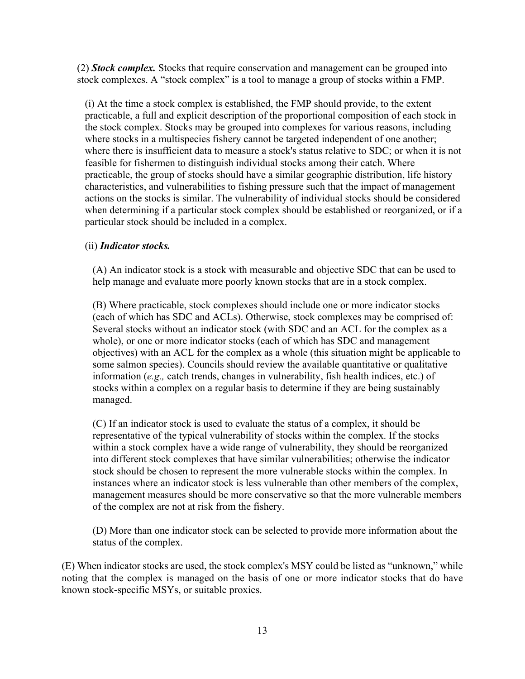(2) *Stock complex.* Stocks that require conservation and management can be grouped into stock complexes. A "stock complex" is a tool to manage a group of stocks within a FMP.

(i) At the time a stock complex is established, the FMP should provide, to the extent practicable, a full and explicit description of the proportional composition of each stock in the stock complex. Stocks may be grouped into complexes for various reasons, including where stocks in a multispecies fishery cannot be targeted independent of one another; where there is insufficient data to measure a stock's status relative to SDC; or when it is not feasible for fishermen to distinguish individual stocks among their catch. Where practicable, the group of stocks should have a similar geographic distribution, life history characteristics, and vulnerabilities to fishing pressure such that the impact of management actions on the stocks is similar. The vulnerability of individual stocks should be considered when determining if a particular stock complex should be established or reorganized, or if a particular stock should be included in a complex.

### (ii) *Indicator stocks.*

(A) An indicator stock is a stock with measurable and objective SDC that can be used to help manage and evaluate more poorly known stocks that are in a stock complex.

(B) Where practicable, stock complexes should include one or more indicator stocks (each of which has SDC and ACLs). Otherwise, stock complexes may be comprised of: Several stocks without an indicator stock (with SDC and an ACL for the complex as a whole), or one or more indicator stocks (each of which has SDC and management objectives) with an ACL for the complex as a whole (this situation might be applicable to some salmon species). Councils should review the available quantitative or qualitative information (*e.g.,* catch trends, changes in vulnerability, fish health indices, etc.) of stocks within a complex on a regular basis to determine if they are being sustainably managed.

(C) If an indicator stock is used to evaluate the status of a complex, it should be representative of the typical vulnerability of stocks within the complex. If the stocks within a stock complex have a wide range of vulnerability, they should be reorganized into different stock complexes that have similar vulnerabilities; otherwise the indicator stock should be chosen to represent the more vulnerable stocks within the complex. In instances where an indicator stock is less vulnerable than other members of the complex, management measures should be more conservative so that the more vulnerable members of the complex are not at risk from the fishery.

(D) More than one indicator stock can be selected to provide more information about the status of the complex.

(E) When indicator stocks are used, the stock complex's MSY could be listed as "unknown," while noting that the complex is managed on the basis of one or more indicator stocks that do have known stock-specific MSYs, or suitable proxies.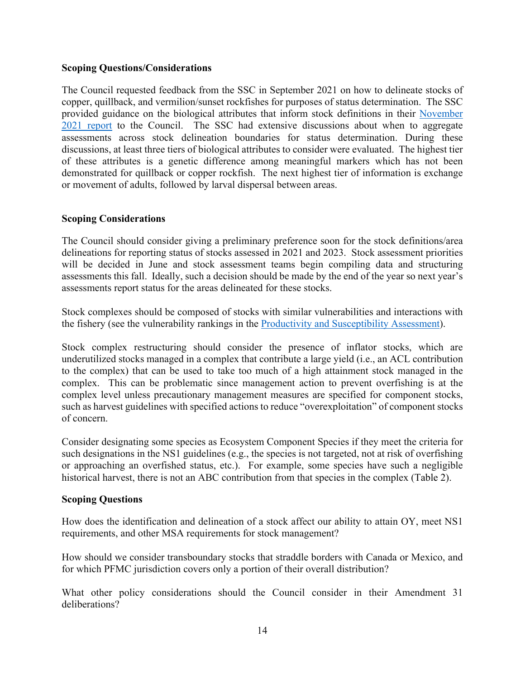#### **Scoping Questions/Considerations**

The Council requested feedback from the SSC in September 2021 on how to delineate stocks of copper, quillback, and vermilion/sunset rockfishes for purposes of status determination. The SSC provided guidance on the biological attributes that inform stock definitions in their November 2021 report to the Council. The SSC had extensive discussions about when to aggregate assessments across stock delineation boundaries for status determination. During these discussions, at least three tiers of biological attributes to consider were evaluated. The highest tier of these attributes is a genetic difference among meaningful markers which has not been demonstrated for quillback or copper rockfish. The next highest tier of information is exchange or movement of adults, followed by larval dispersal between areas.

### **Scoping Considerations**

The Council should consider giving a preliminary preference soon for the stock definitions/area delineations for reporting status of stocks assessed in 2021 and 2023. Stock assessment priorities will be decided in June and stock assessment teams begin compiling data and structuring assessments this fall. Ideally, such a decision should be made by the end of the year so next year's assessments report status for the areas delineated for these stocks.

Stock complexes should be composed of stocks with similar vulnerabilities and interactions with the fishery (see the vulnerability rankings in the Productivity and Susceptibility Assessment).

Stock complex restructuring should consider the presence of inflator stocks, which are underutilized stocks managed in a complex that contribute a large yield (i.e., an ACL contribution to the complex) that can be used to take too much of a high attainment stock managed in the complex. This can be problematic since management action to prevent overfishing is at the complex level unless precautionary management measures are specified for component stocks, such as harvest guidelines with specified actions to reduce "overexploitation" of component stocks of concern.

Consider designating some species as Ecosystem Component Species if they meet the criteria for such designations in the NS1 guidelines (e.g., the species is not targeted, not at risk of overfishing or approaching an overfished status, etc.). For example, some species have such a negligible historical harvest, there is not an ABC contribution from that species in the complex (Table 2).

#### **Scoping Questions**

How does the identification and delineation of a stock affect our ability to attain OY, meet NS1 requirements, and other MSA requirements for stock management?

How should we consider transboundary stocks that straddle borders with Canada or Mexico, and for which PFMC jurisdiction covers only a portion of their overall distribution?

What other policy considerations should the Council consider in their Amendment 31 deliberations?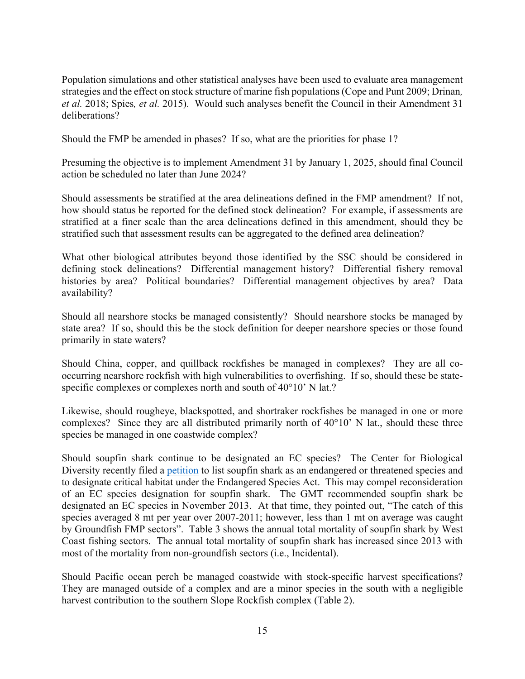Population simulations and other statistical analyses have been used to evaluate area management strategies and the effect on stock structure of marine fish populations (Cope and Punt 2009; Drinan*, et al.* 2018; Spies*, et al.* 2015). Would such analyses benefit the Council in their Amendment 31 deliberations?

Should the FMP be amended in phases? If so, what are the priorities for phase 1?

Presuming the objective is to implement Amendment 31 by January 1, 2025, should final Council action be scheduled no later than June 2024?

Should assessments be stratified at the area delineations defined in the FMP amendment? If not, how should status be reported for the defined stock delineation? For example, if assessments are stratified at a finer scale than the area delineations defined in this amendment, should they be stratified such that assessment results can be aggregated to the defined area delineation?

What other biological attributes beyond those identified by the SSC should be considered in defining stock delineations? Differential management history? Differential fishery removal histories by area? Political boundaries? Differential management objectives by area? Data availability?

Should all nearshore stocks be managed consistently? Should nearshore stocks be managed by state area? If so, should this be the stock definition for deeper nearshore species or those found primarily in state waters?

Should China, copper, and quillback rockfishes be managed in complexes? They are all cooccurring nearshore rockfish with high vulnerabilities to overfishing. If so, should these be statespecific complexes or complexes north and south of 40°10' N lat.?

Likewise, should rougheye, blackspotted, and shortraker rockfishes be managed in one or more complexes? Since they are all distributed primarily north of 40°10' N lat., should these three species be managed in one coastwide complex?

Should soupfin shark continue to be designated an EC species? The Center for Biological Diversity recently filed a petition to list soupfin shark as an endangered or threatened species and to designate critical habitat under the Endangered Species Act. This may compel reconsideration of an EC species designation for soupfin shark. The GMT recommended soupfin shark be designated an EC species in November 2013. At that time, they pointed out, "The catch of this species averaged 8 mt per year over 2007-2011; however, less than 1 mt on average was caught by Groundfish FMP sectors". Table 3 shows the annual total mortality of soupfin shark by West Coast fishing sectors. The annual total mortality of soupfin shark has increased since 2013 with most of the mortality from non-groundfish sectors (i.e., Incidental).

Should Pacific ocean perch be managed coastwide with stock-specific harvest specifications? They are managed outside of a complex and are a minor species in the south with a negligible harvest contribution to the southern Slope Rockfish complex (Table 2).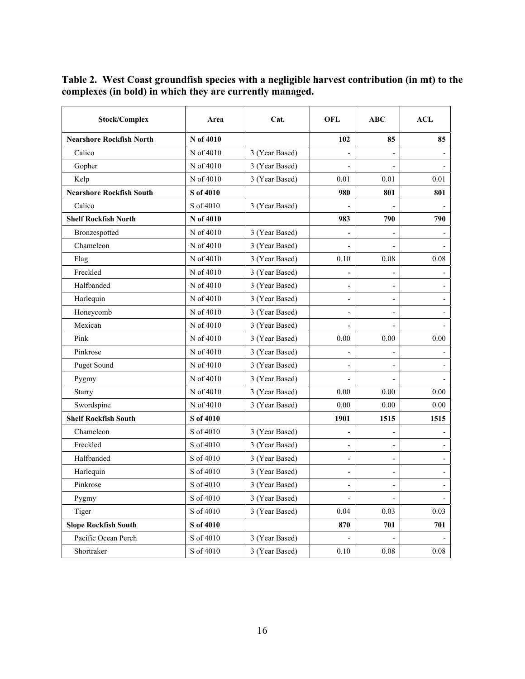**Table 2. West Coast groundfish species with a negligible harvest contribution (in mt) to the complexes (in bold) in which they are currently managed.** 

| <b>Stock/Complex</b>            | Area      | Cat.           | <b>OFL</b>               | <b>ABC</b>               | <b>ACL</b> |
|---------------------------------|-----------|----------------|--------------------------|--------------------------|------------|
| <b>Nearshore Rockfish North</b> | N of 4010 |                | 102                      | 85                       | 85         |
| Calico                          | N of 4010 | 3 (Year Based) |                          |                          |            |
| Gopher                          | N of 4010 | 3 (Year Based) |                          |                          |            |
| Kelp                            | N of 4010 | 3 (Year Based) | 0.01                     | 0.01                     | 0.01       |
| <b>Nearshore Rockfish South</b> | S of 4010 |                | 980                      | 801                      | 801        |
| Calico                          | S of 4010 | 3 (Year Based) |                          |                          |            |
| <b>Shelf Rockfish North</b>     | N of 4010 |                | 983                      | 790                      | 790        |
| Bronzespotted                   | N of 4010 | 3 (Year Based) |                          |                          |            |
| Chameleon                       | N of 4010 | 3 (Year Based) |                          |                          |            |
| Flag                            | N of 4010 | 3 (Year Based) | 0.10                     | 0.08                     | 0.08       |
| Freckled                        | N of 4010 | 3 (Year Based) | $\overline{\phantom{a}}$ | $\overline{\phantom{a}}$ |            |
| Halfbanded                      | N of 4010 | 3 (Year Based) |                          |                          |            |
| Harlequin                       | N of 4010 | 3 (Year Based) |                          |                          |            |
| Honeycomb                       | N of 4010 | 3 (Year Based) |                          |                          |            |
| Mexican                         | N of 4010 | 3 (Year Based) |                          |                          |            |
| Pink                            | N of 4010 | 3 (Year Based) | 0.00                     | 0.00                     | 0.00       |
| Pinkrose                        | N of 4010 | 3 (Year Based) |                          |                          |            |
| Puget Sound                     | N of 4010 | 3 (Year Based) |                          |                          |            |
| Pygmy                           | N of 4010 | 3 (Year Based) |                          |                          |            |
| <b>Starry</b>                   | N of 4010 | 3 (Year Based) | 0.00                     | 0.00                     | 0.00       |
| Swordspine                      | N of 4010 | 3 (Year Based) | 0.00                     | 0.00                     | 0.00       |
| <b>Shelf Rockfish South</b>     | S of 4010 |                | 1901                     | 1515                     | 1515       |
| Chameleon                       | S of 4010 | 3 (Year Based) |                          |                          |            |
| Freckled                        | S of 4010 | 3 (Year Based) | $\overline{a}$           |                          |            |
| Halfbanded                      | S of 4010 | 3 (Year Based) |                          | $\overline{\phantom{a}}$ |            |
| Harlequin                       | S of 4010 | 3 (Year Based) | $\overline{a}$           |                          |            |
| Pinkrose                        | S of 4010 | 3 (Year Based) | $\overline{\phantom{0}}$ | $\overline{\phantom{a}}$ |            |
| Pygmy                           | S of 4010 | 3 (Year Based) | $\overline{\phantom{0}}$ | $\qquad \qquad -$        | -          |
| Tiger                           | S of 4010 | 3 (Year Based) | 0.04                     | 0.03                     | 0.03       |
| <b>Slope Rockfish South</b>     | S of 4010 |                | 870                      | 701                      | 701        |
| Pacific Ocean Perch             | S of 4010 | 3 (Year Based) |                          |                          |            |
| Shortraker                      | S of 4010 | 3 (Year Based) | $0.10\,$                 | $0.08\,$                 | $0.08\,$   |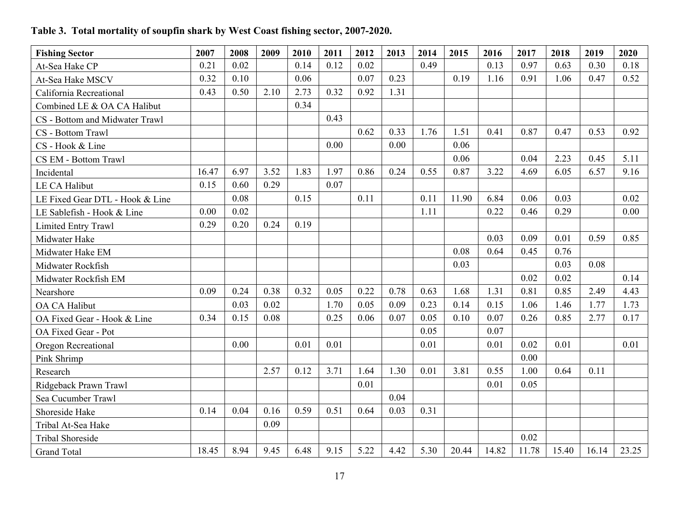## **Table 3. Total mortality of soupfin shark by West Coast fishing sector, 2007-2020.**

| <b>Fishing Sector</b>           | 2007  | 2008 | 2009 | 2010 | 2011 | 2012 | 2013 | 2014 | 2015  | 2016  | 2017  | 2018  | 2019  | 2020  |
|---------------------------------|-------|------|------|------|------|------|------|------|-------|-------|-------|-------|-------|-------|
| At-Sea Hake CP                  | 0.21  | 0.02 |      | 0.14 | 0.12 | 0.02 |      | 0.49 |       | 0.13  | 0.97  | 0.63  | 0.30  | 0.18  |
| At-Sea Hake MSCV                | 0.32  | 0.10 |      | 0.06 |      | 0.07 | 0.23 |      | 0.19  | 1.16  | 0.91  | 1.06  | 0.47  | 0.52  |
| California Recreational         | 0.43  | 0.50 | 2.10 | 2.73 | 0.32 | 0.92 | 1.31 |      |       |       |       |       |       |       |
| Combined LE & OA CA Halibut     |       |      |      | 0.34 |      |      |      |      |       |       |       |       |       |       |
| CS - Bottom and Midwater Trawl  |       |      |      |      | 0.43 |      |      |      |       |       |       |       |       |       |
| CS - Bottom Trawl               |       |      |      |      |      | 0.62 | 0.33 | 1.76 | 1.51  | 0.41  | 0.87  | 0.47  | 0.53  | 0.92  |
| CS - Hook & Line                |       |      |      |      | 0.00 |      | 0.00 |      | 0.06  |       |       |       |       |       |
| CS EM - Bottom Trawl            |       |      |      |      |      |      |      |      | 0.06  |       | 0.04  | 2.23  | 0.45  | 5.11  |
| Incidental                      | 16.47 | 6.97 | 3.52 | 1.83 | 1.97 | 0.86 | 0.24 | 0.55 | 0.87  | 3.22  | 4.69  | 6.05  | 6.57  | 9.16  |
| LE CA Halibut                   | 0.15  | 0.60 | 0.29 |      | 0.07 |      |      |      |       |       |       |       |       |       |
| LE Fixed Gear DTL - Hook & Line |       | 0.08 |      | 0.15 |      | 0.11 |      | 0.11 | 11.90 | 6.84  | 0.06  | 0.03  |       | 0.02  |
| LE Sablefish - Hook & Line      | 0.00  | 0.02 |      |      |      |      |      | 1.11 |       | 0.22  | 0.46  | 0.29  |       | 0.00  |
| Limited Entry Trawl             | 0.29  | 0.20 | 0.24 | 0.19 |      |      |      |      |       |       |       |       |       |       |
| Midwater Hake                   |       |      |      |      |      |      |      |      |       | 0.03  | 0.09  | 0.01  | 0.59  | 0.85  |
| Midwater Hake EM                |       |      |      |      |      |      |      |      | 0.08  | 0.64  | 0.45  | 0.76  |       |       |
| Midwater Rockfish               |       |      |      |      |      |      |      |      | 0.03  |       |       | 0.03  | 0.08  |       |
| Midwater Rockfish EM            |       |      |      |      |      |      |      |      |       |       | 0.02  | 0.02  |       | 0.14  |
| Nearshore                       | 0.09  | 0.24 | 0.38 | 0.32 | 0.05 | 0.22 | 0.78 | 0.63 | 1.68  | 1.31  | 0.81  | 0.85  | 2.49  | 4.43  |
| OA CA Halibut                   |       | 0.03 | 0.02 |      | 1.70 | 0.05 | 0.09 | 0.23 | 0.14  | 0.15  | 1.06  | 1.46  | 1.77  | 1.73  |
| OA Fixed Gear - Hook & Line     | 0.34  | 0.15 | 0.08 |      | 0.25 | 0.06 | 0.07 | 0.05 | 0.10  | 0.07  | 0.26  | 0.85  | 2.77  | 0.17  |
| OA Fixed Gear - Pot             |       |      |      |      |      |      |      | 0.05 |       | 0.07  |       |       |       |       |
| Oregon Recreational             |       | 0.00 |      | 0.01 | 0.01 |      |      | 0.01 |       | 0.01  | 0.02  | 0.01  |       | 0.01  |
| Pink Shrimp                     |       |      |      |      |      |      |      |      |       |       | 0.00  |       |       |       |
| Research                        |       |      | 2.57 | 0.12 | 3.71 | 1.64 | 1.30 | 0.01 | 3.81  | 0.55  | 1.00  | 0.64  | 0.11  |       |
| Ridgeback Prawn Trawl           |       |      |      |      |      | 0.01 |      |      |       | 0.01  | 0.05  |       |       |       |
| Sea Cucumber Trawl              |       |      |      |      |      |      | 0.04 |      |       |       |       |       |       |       |
| Shoreside Hake                  | 0.14  | 0.04 | 0.16 | 0.59 | 0.51 | 0.64 | 0.03 | 0.31 |       |       |       |       |       |       |
| Tribal At-Sea Hake              |       |      | 0.09 |      |      |      |      |      |       |       |       |       |       |       |
| <b>Tribal Shoreside</b>         |       |      |      |      |      |      |      |      |       |       | 0.02  |       |       |       |
| <b>Grand Total</b>              | 18.45 | 8.94 | 9.45 | 6.48 | 9.15 | 5.22 | 4.42 | 5.30 | 20.44 | 14.82 | 11.78 | 15.40 | 16.14 | 23.25 |